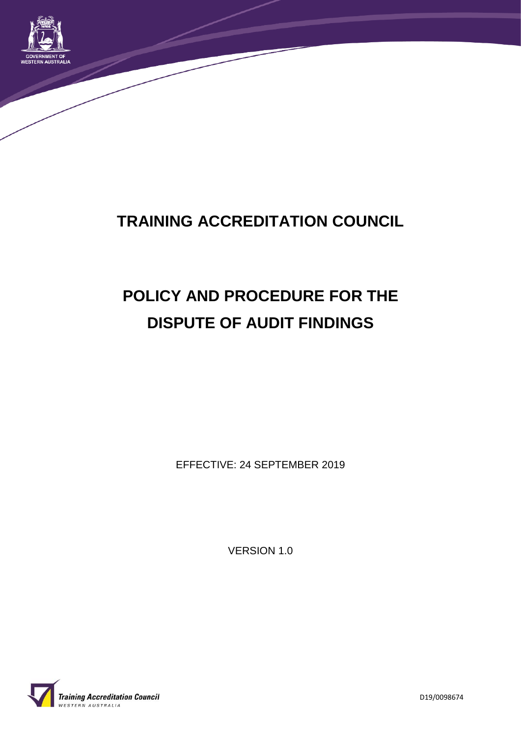

# **TRAINING ACCREDITATION COUNCIL**

# **POLICY AND PROCEDURE FOR THE DISPUTE OF AUDIT FINDINGS**

EFFECTIVE: 24 SEPTEMBER 2019

VERSION 1.0



D19/0098674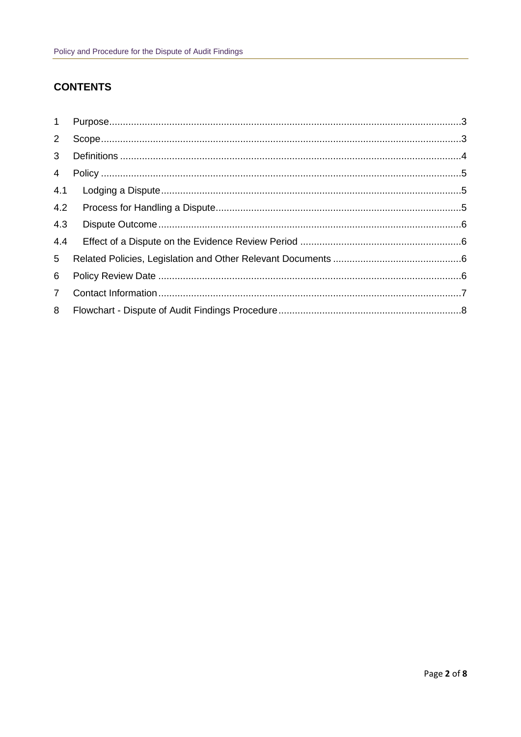#### **CONTENTS**

| $1 \quad$       |  |
|-----------------|--|
| $2^{\circ}$     |  |
| 3 <sup>7</sup>  |  |
| $\overline{4}$  |  |
| 4.1             |  |
| 4.2             |  |
| 4.3             |  |
| 4.4             |  |
| $5\overline{)}$ |  |
| 6               |  |
| $7^{\circ}$     |  |
| 8               |  |
|                 |  |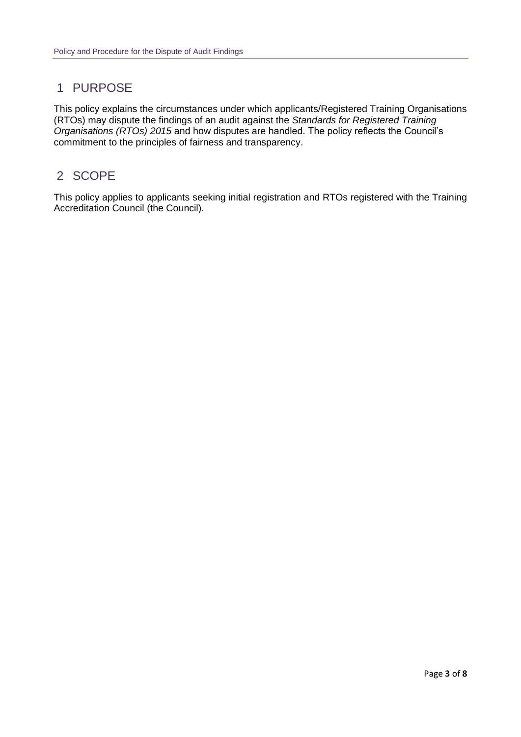# 1 PURPOSE

This policy explains the circumstances under which applicants/Registered Training Organisations (RTOs) may dispute the findings of an audit against the *Standards for Registered Training Organisations (RTOs) 2015* and how disputes are handled. The policy reflects the Council's commitment to the principles of fairness and transparency.

# 2 SCOPE

This policy applies to applicants seeking initial registration and RTOs registered with the Training Accreditation Council (the Council).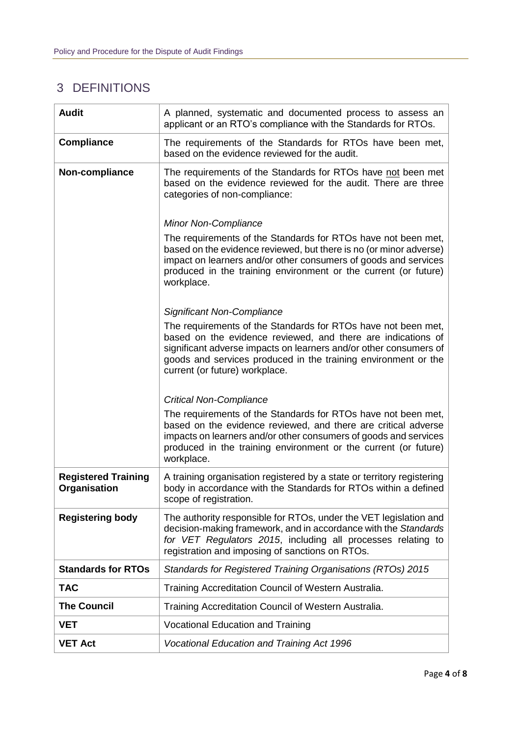# 3 DEFINITIONS

| <b>Audit</b>                               | A planned, systematic and documented process to assess an<br>applicant or an RTO's compliance with the Standards for RTOs.                                                                                                                                                                             |
|--------------------------------------------|--------------------------------------------------------------------------------------------------------------------------------------------------------------------------------------------------------------------------------------------------------------------------------------------------------|
| <b>Compliance</b>                          | The requirements of the Standards for RTOs have been met,<br>based on the evidence reviewed for the audit.                                                                                                                                                                                             |
| Non-compliance                             | The requirements of the Standards for RTOs have not been met<br>based on the evidence reviewed for the audit. There are three<br>categories of non-compliance:                                                                                                                                         |
|                                            | <b>Minor Non-Compliance</b>                                                                                                                                                                                                                                                                            |
|                                            | The requirements of the Standards for RTOs have not been met,<br>based on the evidence reviewed, but there is no (or minor adverse)<br>impact on learners and/or other consumers of goods and services<br>produced in the training environment or the current (or future)<br>workplace.                |
|                                            | <b>Significant Non-Compliance</b>                                                                                                                                                                                                                                                                      |
|                                            | The requirements of the Standards for RTOs have not been met,<br>based on the evidence reviewed, and there are indications of<br>significant adverse impacts on learners and/or other consumers of<br>goods and services produced in the training environment or the<br>current (or future) workplace. |
|                                            | <b>Critical Non-Compliance</b>                                                                                                                                                                                                                                                                         |
|                                            | The requirements of the Standards for RTOs have not been met,<br>based on the evidence reviewed, and there are critical adverse<br>impacts on learners and/or other consumers of goods and services<br>produced in the training environment or the current (or future)<br>workplace.                   |
| <b>Registered Training</b><br>Organisation | A training organisation registered by a state or territory registering<br>body in accordance with the Standards for RTOs within a defined<br>scope of registration.                                                                                                                                    |
| <b>Registering body</b>                    | The authority responsible for RTOs, under the VET legislation and<br>decision-making framework, and in accordance with the Standards<br>for VET Regulators 2015, including all processes relating to<br>registration and imposing of sanctions on RTOs.                                                |
| <b>Standards for RTOs</b>                  | Standards for Registered Training Organisations (RTOs) 2015                                                                                                                                                                                                                                            |
| <b>TAC</b>                                 | Training Accreditation Council of Western Australia.                                                                                                                                                                                                                                                   |
| <b>The Council</b>                         | Training Accreditation Council of Western Australia.                                                                                                                                                                                                                                                   |
| VET                                        | <b>Vocational Education and Training</b>                                                                                                                                                                                                                                                               |
| <b>VET Act</b>                             | <b>Vocational Education and Training Act 1996</b>                                                                                                                                                                                                                                                      |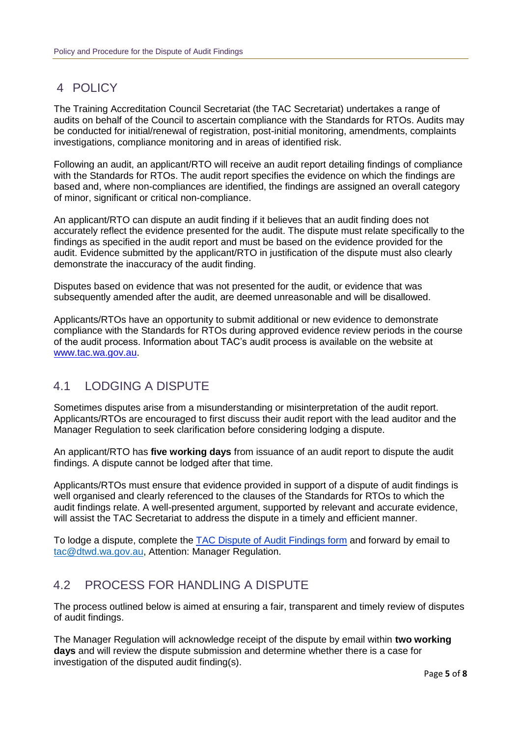# 4 POLICY

The Training Accreditation Council Secretariat (the TAC Secretariat) undertakes a range of audits on behalf of the Council to ascertain compliance with the Standards for RTOs. Audits may be conducted for initial/renewal of registration, post-initial monitoring, amendments, complaints investigations, compliance monitoring and in areas of identified risk.

Following an audit, an applicant/RTO will receive an audit report detailing findings of compliance with the Standards for RTOs. The audit report specifies the evidence on which the findings are based and, where non-compliances are identified, the findings are assigned an overall category of minor, significant or critical non-compliance.

An applicant/RTO can dispute an audit finding if it believes that an audit finding does not accurately reflect the evidence presented for the audit. The dispute must relate specifically to the findings as specified in the audit report and must be based on the evidence provided for the audit. Evidence submitted by the applicant/RTO in justification of the dispute must also clearly demonstrate the inaccuracy of the audit finding.

Disputes based on evidence that was not presented for the audit, or evidence that was subsequently amended after the audit, are deemed unreasonable and will be disallowed.

Applicants/RTOs have an opportunity to submit additional or new evidence to demonstrate compliance with the Standards for RTOs during approved evidence review periods in the course of the audit process. Information about TAC's audit process is available on the website at [www.tac.wa.gov.au.](http://www.tac.wa.gov.au/)

# 4.1 LODGING A DISPUTE

Sometimes disputes arise from a misunderstanding or misinterpretation of the audit report. Applicants/RTOs are encouraged to first discuss their audit report with the lead auditor and the Manager Regulation to seek clarification before considering lodging a dispute.

An applicant/RTO has **five working days** from issuance of an audit report to dispute the audit findings. A dispute cannot be lodged after that time.

Applicants/RTOs must ensure that evidence provided in support of a dispute of audit findings is well organised and clearly referenced to the clauses of the Standards for RTOs to which the audit findings relate. A well-presented argument, supported by relevant and accurate evidence, will assist the TAC Secretariat to address the dispute in a timely and efficient manner.

To lodge a dispute, complete the TAC Dispute of Audit Findings form and forward by email to [tac@dtwd.wa.gov.au,](mailto:tac@dtwd.wa.gov.au) Attention: Manager Regulation.

# 4.2 PROCESS FOR HANDLING A DISPUTE

The process outlined below is aimed at ensuring a fair, transparent and timely review of disputes of audit findings.

The Manager Regulation will acknowledge receipt of the dispute by email within **two working days** and will review the dispute submission and determine whether there is a case for investigation of the disputed audit finding(s).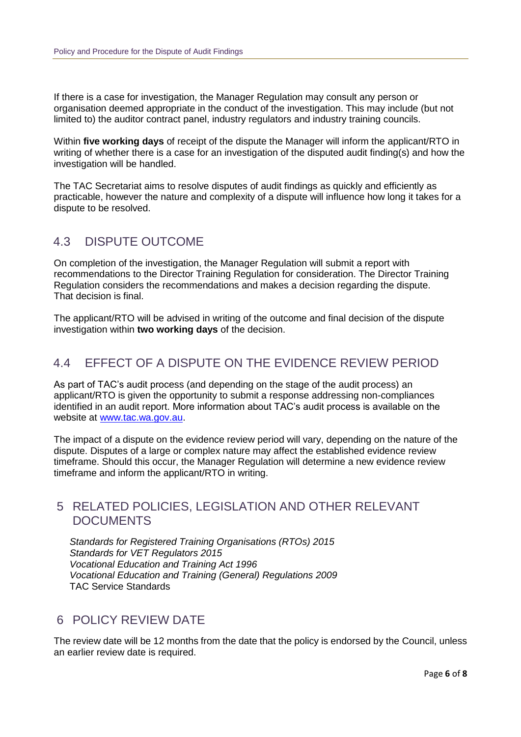If there is a case for investigation, the Manager Regulation may consult any person or organisation deemed appropriate in the conduct of the investigation. This may include (but not limited to) the auditor contract panel, industry regulators and industry training councils.

Within **five working days** of receipt of the dispute the Manager will inform the applicant/RTO in writing of whether there is a case for an investigation of the disputed audit finding(s) and how the investigation will be handled.

The TAC Secretariat aims to resolve disputes of audit findings as quickly and efficiently as practicable, however the nature and complexity of a dispute will influence how long it takes for a dispute to be resolved.

#### 4.3 DISPUTE OUTCOME

On completion of the investigation, the Manager Regulation will submit a report with recommendations to the Director Training Regulation for consideration. The Director Training Regulation considers the recommendations and makes a decision regarding the dispute. That decision is final.

The applicant/RTO will be advised in writing of the outcome and final decision of the dispute investigation within **two working days** of the decision.

## 4.4 EFFECT OF A DISPUTE ON THE EVIDENCE REVIEW PERIOD

As part of TAC's audit process (and depending on the stage of the audit process) an applicant/RTO is given the opportunity to submit a response addressing non-compliances identified in an audit report. More information about TAC's audit process is available on the website at [www.tac.wa.gov.au.](http://www.tac.wa.gov.au/)

The impact of a dispute on the evidence review period will vary, depending on the nature of the dispute. Disputes of a large or complex nature may affect the established evidence review timeframe. Should this occur, the Manager Regulation will determine a new evidence review timeframe and inform the applicant/RTO in writing.

#### 5 RELATED POLICIES, LEGISLATION AND OTHER RELEVANT DOCUMENTS

*Standards for Registered Training Organisations (RTOs) 2015 Standards for VET Regulators 2015 Vocational Education and Training Act 1996 Vocational Education and Training (General) Regulations 2009* TAC Service Standards

#### 6 POLICY REVIEW DATE

The review date will be 12 months from the date that the policy is endorsed by the Council, unless an earlier review date is required.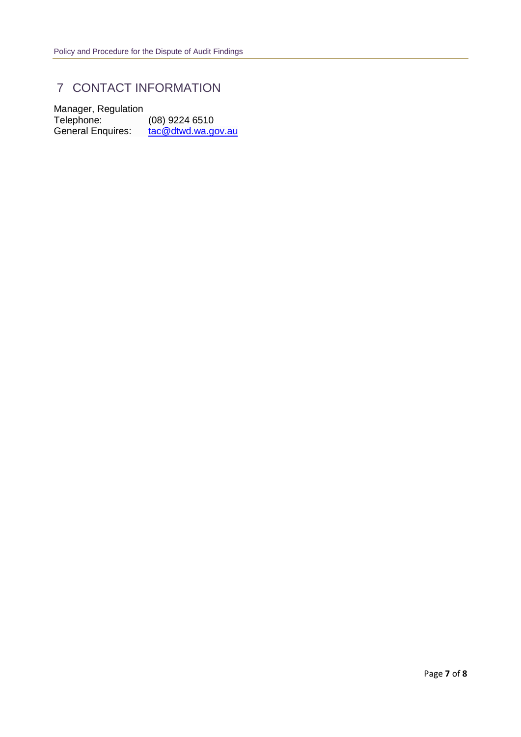# 7 CONTACT INFORMATION

Manager, Regulation Telephone: (08) 9224 6510 General Enquires: [tac@dtwd.wa.gov.au](mailto:tac@dtwd.wa.gov.au)